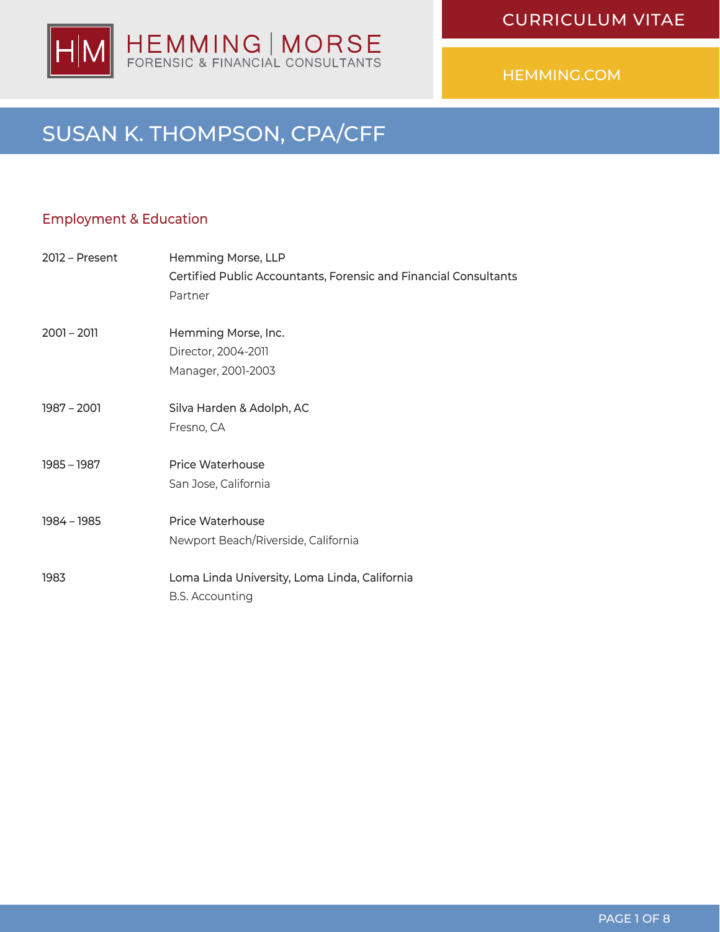

## SUSAN K. THOMPSON, CPA/CFF

## Employment & Education

| $2012$ – Present | Hemming Morse, LLP<br>Certified Public Accountants, Forensic and Financial Consultants<br>Partner |
|------------------|---------------------------------------------------------------------------------------------------|
| $2001 - 2011$    | Hemming Morse, Inc.<br>Director, 2004-2011<br>Manager, 2001-2003                                  |
| 1987 - 2001      | Silva Harden & Adolph, AC<br>Fresno, CA                                                           |
| 1985 - 1987      | <b>Price Waterhouse</b><br>San Jose, California                                                   |
| 1984 - 1985      | Price Waterhouse<br>Newport Beach/Riverside, California                                           |
| 1983             | Loma Linda University, Loma Linda, California<br><b>B.S. Accounting</b>                           |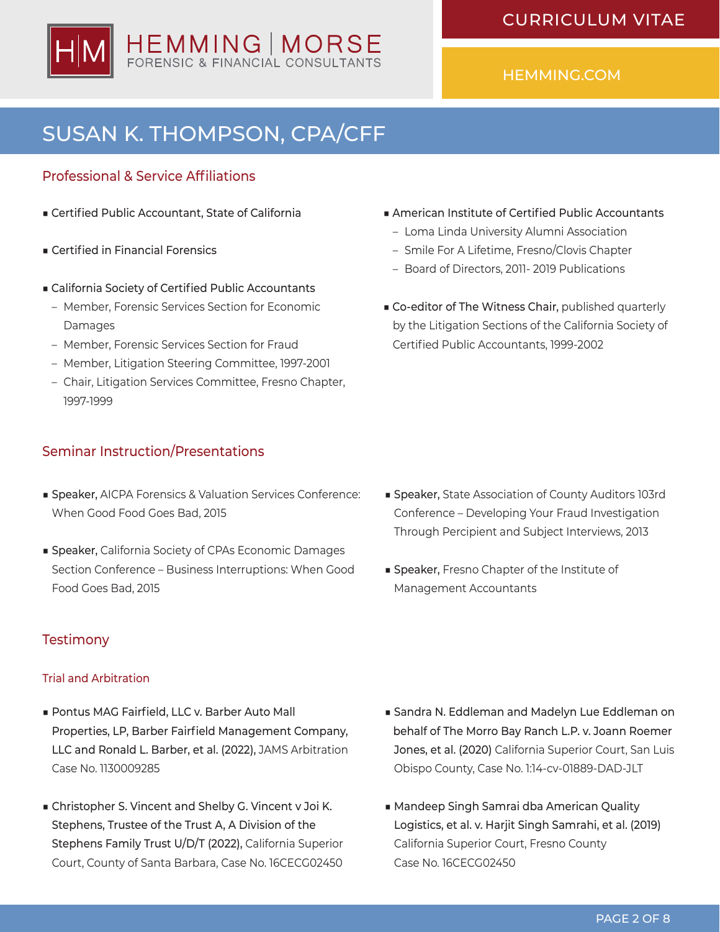

# SUSAN K. THOMPSON, CPA/CFF

## Professional & Service Affiliations

- Certified Public Accountant, State of California
- Certified in Financial Forensics
- California Society of Certified Public Accountants
	- Member, Forensic Services Section for Economic Damages
	- Member, Forensic Services Section for Fraud
	- Member, Litigation Steering Committee, 1997-2001
	- Chair, Litigation Services Committee, Fresno Chapter, 1997-1999

### Seminar Instruction/Presentations

- Speaker, AICPA Forensics & Valuation Services Conference: When Good Food Goes Bad, 2015
- Speaker, California Society of CPAs Economic Damages Section Conference – Business Interruptions: When Good Food Goes Bad, 2015

## **Testimony**

#### Trial and Arbitration

- Pontus MAG Fairfield, LLC v. Barber Auto Mall Properties, LP, Barber Fairfield Management Company, LLC and Ronald L. Barber, et al. (2022), JAMS Arbitration Case No. 1130009285
- Christopher S. Vincent and Shelby G. Vincent v Joi K. Stephens, Trustee of the Trust A, A Division of the Stephens Family Trust U/D/T (2022), California Superior Court, County of Santa Barbara, Case No. 16CECG02450
- American Institute of Certified Public Accountants
	- Loma Linda University Alumni Association
	- Smile For A Lifetime, Fresno/Clovis Chapter
	- Board of Directors, 2011- 2019 Publications
- Co-editor of The Witness Chair, published quarterly by the Litigation Sections of the California Society of Certified Public Accountants, 1999-2002

- Speaker, State Association of County Auditors 103rd Conference – Developing Your Fraud Investigation Through Percipient and Subject Interviews, 2013
- Speaker, Fresno Chapter of the Institute of Management Accountants

- Sandra N. Eddleman and Madelyn Lue Eddleman on behalf of The Morro Bay Ranch L.P. v. Joann Roemer Jones, et al. (2020) California Superior Court, San Luis Obispo County, Case No. 1:14-cv-01889-DAD-JLT
- Mandeep Singh Samrai dba American Quality Logistics, et al. v. Harjit Singh Samrahi, et al. (2019) California Superior Court, Fresno County Case No. 16CECG02450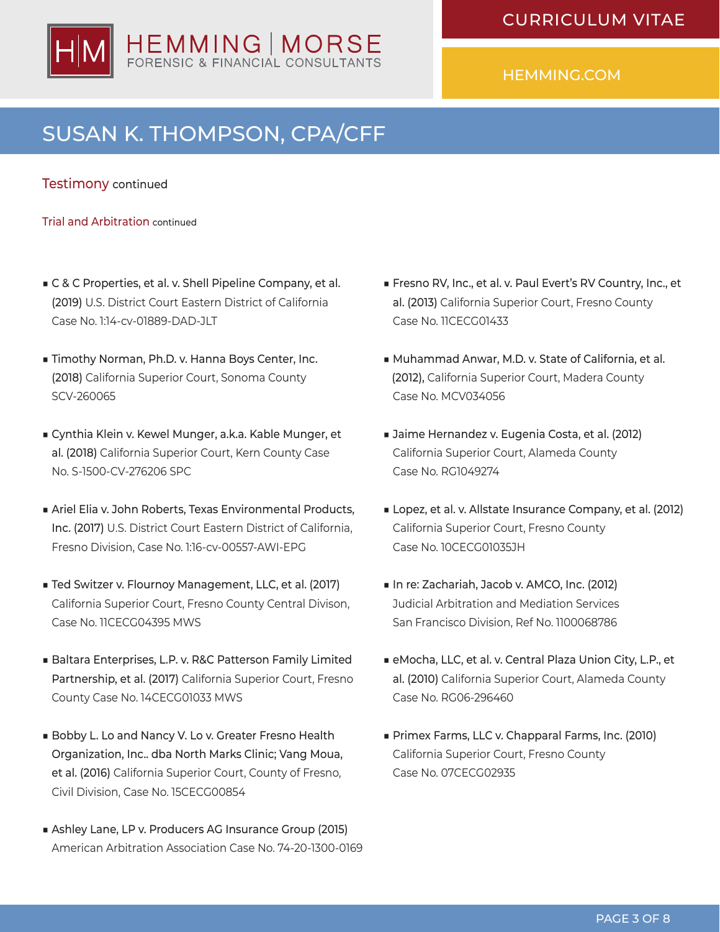

# SUSAN K. THOMPSON, CPA/CFF

#### Testimony continued

Trial and Arbitration continued

- C & C Properties, et al. v. Shell Pipeline Company, et al. (2019) U.S. District Court Eastern District of California Case No. 1:14-cv-01889-DAD-JLT
- Timothy Norman, Ph.D. v. Hanna Boys Center, Inc. (2018) California Superior Court, Sonoma County SCV-260065
- Cynthia Klein v. Kewel Munger, a.k.a. Kable Munger, et al. (2018) California Superior Court, Kern County Case No. S-1500-CV-276206 SPC
- Ariel Elia v. John Roberts, Texas Environmental Products, Inc. (2017) U.S. District Court Eastern District of California, Fresno Division, Case No. 1:16-cv-00557-AWI-EPG
- Ted Switzer v. Flournoy Management, LLC, et al. (2017) California Superior Court, Fresno County Central Divison, Case No. 11CECG04395 MWS
- Baltara Enterprises, L.P. v. R&C Patterson Family Limited Partnership, et al. (2017) California Superior Court, Fresno County Case No. 14CECG01033 MWS
- Bobby L. Lo and Nancy V. Lo v. Greater Fresno Health Organization, Inc.. dba North Marks Clinic; Vang Moua, et al. (2016) California Superior Court, County of Fresno, Civil Division, Case No. 15CECG00854
- Ashley Lane, LP v. Producers AG Insurance Group (2015) American Arbitration Association Case No. 74-20-1300-0169
- Fresno RV, Inc., et al. v. Paul Evert's RV Country, Inc., et al. (2013) California Superior Court, Fresno County Case No. 11CECG01433
- Muhammad Anwar, M.D. v. State of California, et al. (2012), California Superior Court, Madera County Case No. MCV034056
- Jaime Hernandez v. Eugenia Costa, et al. (2012) California Superior Court, Alameda County Case No. RG1049274
- Lopez, et al. v. Allstate Insurance Company, et al. (2012) California Superior Court, Fresno County Case No. 10CECG01035JH
- In re: Zachariah, Jacob v. AMCO, Inc. (2012) Judicial Arbitration and Mediation Services San Francisco Division, Ref No. 1100068786
- eMocha, LLC, et al. v. Central Plaza Union City, L.P., et al. (2010) California Superior Court, Alameda County Case No. RG06-296460
- Primex Farms, LLC v. Chapparal Farms, Inc. (2010) California Superior Court, Fresno County Case No. 07CECG02935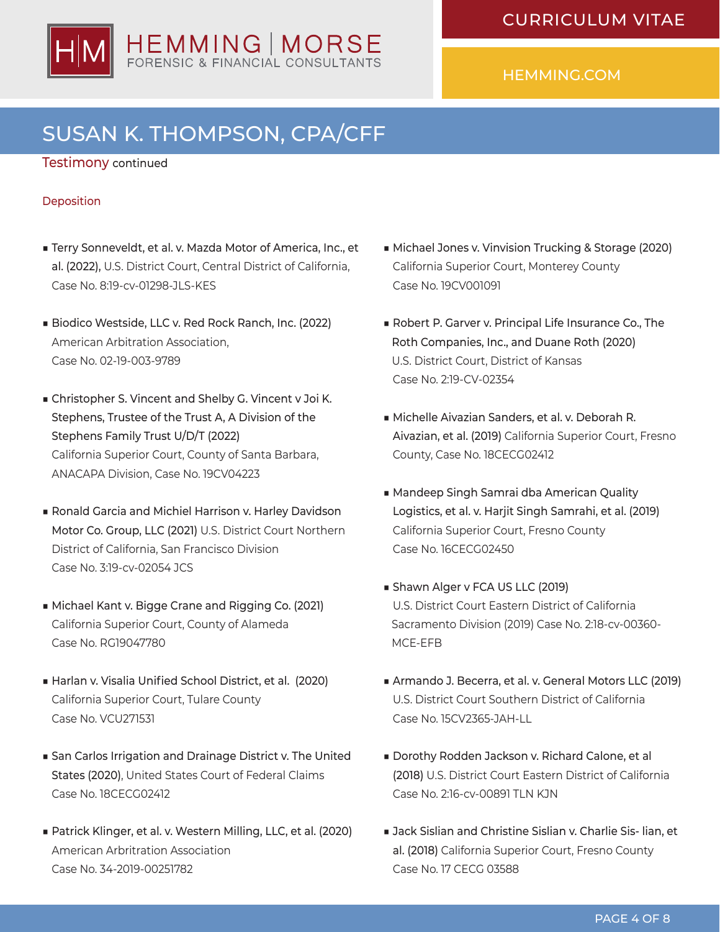

# SUSAN K. THOMPSON, CPA/CFF

#### Testimony continued

#### Deposition

- Terry Sonneveldt, et al. v. Mazda Motor of America, Inc., et al. (2022), U.S. District Court, Central District of California, Case No. 8:19-cv-01298-JLS-KES
- Biodico Westside, LLC v. Red Rock Ranch, Inc. (2022) American Arbitration Association, Case No. 02-19-003-9789
- Christopher S. Vincent and Shelby G. Vincent v Joi K. Stephens, Trustee of the Trust A, A Division of the Stephens Family Trust U/D/T (2022) California Superior Court, County of Santa Barbara, ANACAPA Division, Case No. 19CV04223
- Ronald Garcia and Michiel Harrison v. Harley Davidson Motor Co. Group, LLC (2021) U.S. District Court Northern District of California, San Francisco Division Case No. 3:19-cv-02054 JCS
- Michael Kant v. Bigge Crane and Rigging Co. (2021) California Superior Court, County of Alameda Case No. RG19047780
- Harlan v. Visalia Unified School District, et al. (2020) California Superior Court, Tulare County Case No. VCU271531
- San Carlos Irrigation and Drainage District v. The United States (2020), United States Court of Federal Claims Case No. 18CECG02412
- Patrick Klinger, et al. v. Western Milling, LLC, et al. (2020) American Arbritration Association Case No. 34-2019-00251782
- Michael Jones v. Vinvision Trucking & Storage (2020) California Superior Court, Monterey County Case No. 19CV001091
- Robert P. Garver v. Principal Life Insurance Co., The Roth Companies, Inc., and Duane Roth (2020) U.S. District Court, District of Kansas Case No. 2:19-CV-02354
- ■ Michelle Aivazian Sanders, et al. v. Deborah R. Aivazian, et al. (2019) California Superior Court, Fresno County, Case No. 18CECG02412
- Mandeep Singh Samrai dba American Quality Logistics, et al. v. Harjit Singh Samrahi, et al. (2019) California Superior Court, Fresno County Case No. 16CECG02450
- Shawn Alger v FCA US LLC (2019) U.S. District Court Eastern District of California Sacramento Division (2019) Case No. 2:18-cv-00360- MCE-EFB
- Armando J. Becerra, et al. v. General Motors LLC (2019) U.S. District Court Southern District of California Case No. 15CV2365-JAH-LL
- Dorothy Rodden Jackson v. Richard Calone, et al (2018) U.S. District Court Eastern District of California Case No. 2:16-cv-00891 TLN KJN
- Jack Sislian and Christine Sislian v. Charlie Sis- lian, et al. (2018) California Superior Court, Fresno County Case No. 17 CECG 03588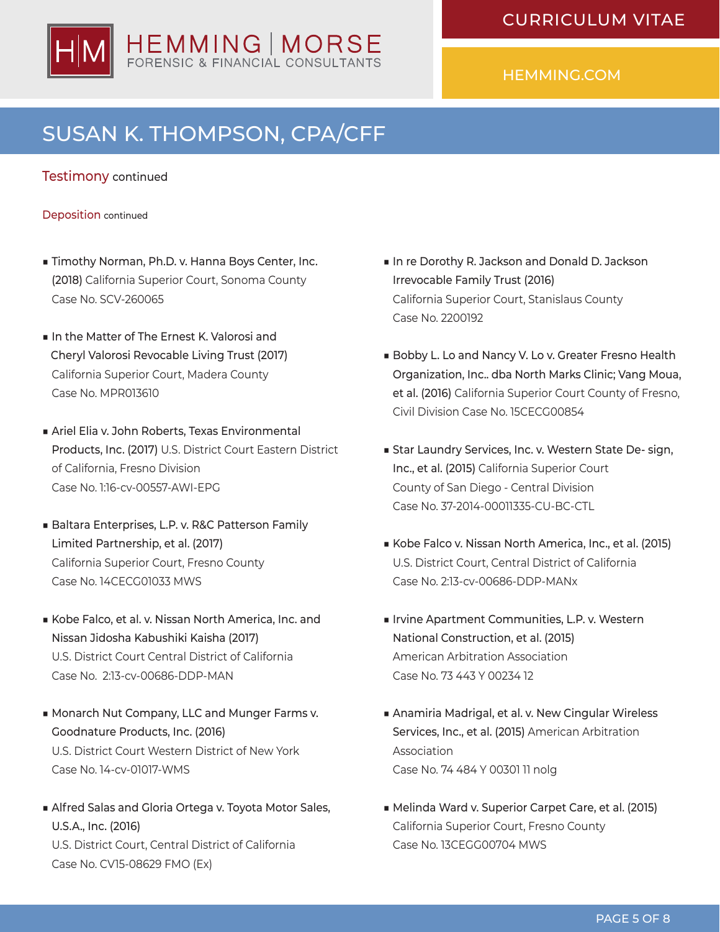

# SUSAN K. THOMPSON, CPA/CFF

#### Testimony continued

#### Deposition continued

- Timothy Norman, Ph.D. v. Hanna Boys Center, Inc. (2018) California Superior Court, Sonoma County Case No. SCV-260065
- In the Matter of The Ernest K. Valorosi and Cheryl Valorosi Revocable Living Trust (2017) California Superior Court, Madera County Case No. MPR013610
- Ariel Elia v. John Roberts, Texas Environmental Products, Inc. (2017) U.S. District Court Eastern District of California, Fresno Division Case No. 1:16-cv-00557-AWI-EPG
- Baltara Enterprises, L.P. v. R&C Patterson Family Limited Partnership, et al. (2017) California Superior Court, Fresno County Case No. 14CECG01033 MWS
- Kobe Falco, et al. v. Nissan North America, Inc. and Nissan Jidosha Kabushiki Kaisha (2017) U.S. District Court Central District of California Case No. 2:13-cv-00686-DDP-MAN
- Monarch Nut Company, LLC and Munger Farms v. Goodnature Products, Inc. (2016) U.S. District Court Western District of New York Case No. 14-cv-01017-WMS
- Alfred Salas and Gloria Ortega v. Toyota Motor Sales, U.S.A., Inc. (2016) U.S. District Court, Central District of California Case No. CV15-08629 FMO (Ex)
- In re Dorothy R. Jackson and Donald D. Jackson Irrevocable Family Trust (2016) California Superior Court, Stanislaus County Case No. 2200192
- Bobby L. Lo and Nancy V. Lo v. Greater Fresno Health Organization, Inc.. dba North Marks Clinic; Vang Moua, et al. (2016) California Superior Court County of Fresno, Civil Division Case No. 15CECG00854
- Star Laundry Services, Inc. v. Western State De- sign, Inc., et al. (2015) California Superior Court County of San Diego - Central Division Case No. 37-2014-00011335-CU-BC-CTL
- ■ Kobe Falco v. Nissan North America, Inc., et al. (2015) U.S. District Court, Central District of California Case No. 2:13-cv-00686-DDP-MANx
- Irvine Apartment Communities, L.P. v. Western National Construction, et al. (2015) American Arbitration Association Case No. 73 443 Y 00234 12
- Anamiria Madrigal, et al. v. New Cingular Wireless Services, Inc., et al. (2015) American Arbitration Association Case No. 74 484 Y 00301 11 nolg
- Melinda Ward v. Superior Carpet Care, et al. (2015) California Superior Court, Fresno County Case No. 13CEGG00704 MWS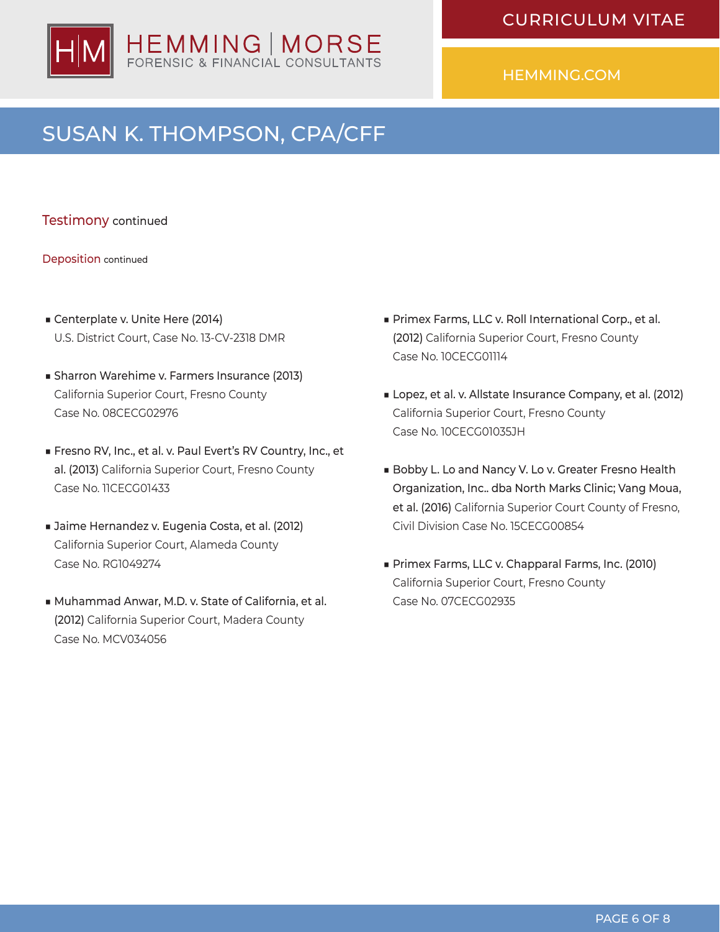

## SUSAN K. THOMPSON, CPA/CFF

Testimony continued

Deposition continued

- Centerplate v. Unite Here (2014) U.S. District Court, Case No. 13-CV-2318 DMR
- Sharron Warehime v. Farmers Insurance (2013) California Superior Court, Fresno County Case No. 08CECG02976
- Fresno RV, Inc., et al. v. Paul Evert's RV Country, Inc., et al. (2013) California Superior Court, Fresno County Case No. 11CECG01433
- Jaime Hernandez v. Eugenia Costa, et al. (2012) California Superior Court, Alameda County Case No. RG1049274
- Muhammad Anwar, M.D. v. State of California, et al. (2012) California Superior Court, Madera County Case No. MCV034056
- Primex Farms, LLC v. Roll International Corp., et al. (2012) California Superior Court, Fresno County Case No. 10CECG01114
- Lopez, et al. v. Allstate Insurance Company, et al. (2012) California Superior Court, Fresno County Case No. 10CECG01035JH
- Bobby L. Lo and Nancy V. Lo v. Greater Fresno Health Organization, Inc.. dba North Marks Clinic; Vang Moua, et al. (2016) California Superior Court County of Fresno, Civil Division Case No. 15CECG00854
- Primex Farms, LLC v. Chapparal Farms, Inc. (2010) California Superior Court, Fresno County Case No. 07CECG02935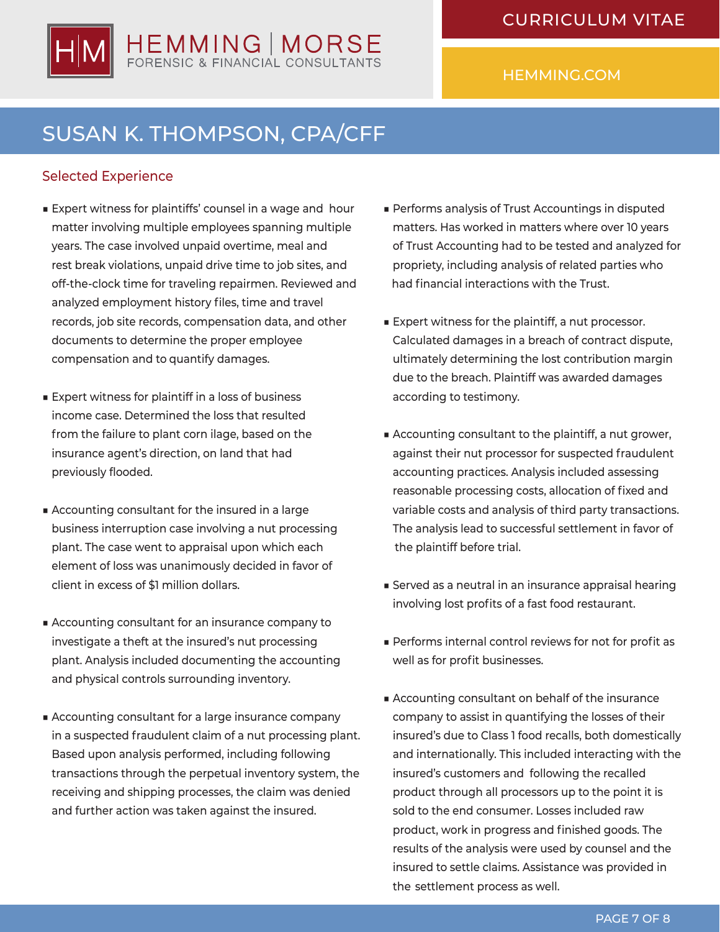

## SUSAN K. THOMPSON, CPA/CFF

### Selected Experience

- Expert witness for plaintiffs' counsel in a wage and hour matter involving multiple employees spanning multiple years. The case involved unpaid overtime, meal and rest break violations, unpaid drive time to job sites, and off-the-clock time for traveling repairmen. Reviewed and analyzed employment history files, time and travel records, job site records, compensation data, and other documents to determine the proper employee compensation and to quantify damages.
- Expert witness for plaintiff in a loss of business income case. Determined the loss that resulted from the failure to plant corn ilage, based on the insurance agent's direction, on land that had previously flooded.
- Accounting consultant for the insured in a large business interruption case involving a nut processing plant. The case went to appraisal upon which each element of loss was unanimously decided in favor of client in excess of \$1 million dollars.
- Accounting consultant for an insurance company to investigate a theft at the insured's nut processing plant. Analysis included documenting the accounting and physical controls surrounding inventory.
- Accounting consultant for a large insurance company in a suspected fraudulent claim of a nut processing plant. Based upon analysis performed, including following transactions through the perpetual inventory system, the receiving and shipping processes, the claim was denied and further action was taken against the insured.
- Performs analysis of Trust Accountings in disputed matters. Has worked in matters where over 10 years of Trust Accounting had to be tested and analyzed for propriety, including analysis of related parties who had financial interactions with the Trust.
- Expert witness for the plaintiff, a nut processor. Calculated damages in a breach of contract dispute, ultimately determining the lost contribution margin due to the breach. Plaintiff was awarded damages according to testimony.
- Accounting consultant to the plaintiff, a nut grower, against their nut processor for suspected fraudulent accounting practices. Analysis included assessing reasonable processing costs, allocation of fixed and variable costs and analysis of third party transactions. The analysis lead to successful settlement in favor of the plaintiff before trial.
- Served as a neutral in an insurance appraisal hearing involving lost profits of a fast food restaurant.
- Performs internal control reviews for not for profit as well as for profit businesses.
- Accounting consultant on behalf of the insurance company to assist in quantifying the losses of their insured's due to Class 1 food recalls, both domestically and internationally. This included interacting with the insured's customers and following the recalled product through all processors up to the point it is sold to the end consumer. Losses included raw product, work in progress and finished goods. The results of the analysis were used by counsel and the insured to settle claims. Assistance was provided in the settlement process as well.